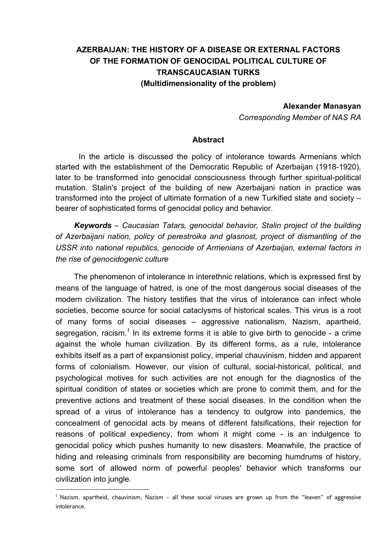# **AZERBAIJAN: THE HISTORY OF A DISEASE OR EXTERNAL FACTORS OF THE FORMATION OF GENOCIDAL POLITICAL CULTURE OF TRANSCAUCASIAN TURKS (Multidimensionality of the problem)**

#### **Alexander Manasyan**

*Corresponding Member of NAS RA* 

#### **Abstract**

In the article is discussed the policy of intolerance towards Armenians which started with the establishment of the Democratic Republic of Azerbaijan (1918-1920), later to be transformed into genocidal consciousness through further spiritual-political mutation. Stalin's project of the building of new Azerbaijani nation in practice was transformed into the project of ultimate formation of a new Turkified state and society – bearer of sophisticated forms of genocidal policy and behavior.

*Keywords – Caucasian Tatars, genocidal behavior, Stalin project of the building of Azerbaijani nation, policy of perestroika and glasnost, project of dismantling of the USSR into national republics, genocide of Armenians of Azerbaijan, external factors in the rise of genocidogenic culture*

The phenomenon of intolerance in interethnic relations, which is expressed first by means of the language of hatred, is one of the most dangerous social diseases of the modern civilization. The history testifies that the virus of intolerance can infect whole societies, become source for social cataclysms of historical scales. This virus is a root of many forms of social diseases – aggressive nationalism, Nazism, apartheid, segregation, racism.<sup>1</sup> In its extreme forms it is able to give birth to genocide - a crime against the whole human civilization. By its different forms, as a rule, intolerance exhibits itself as a part of expansionist policy, imperial chauvinism, hidden and apparent forms of colonialism. However, our vision of cultural, social-historical, political, and psychological motives for such activities are not enough for the diagnostics of the spiritual condition of states or societies which are prone to commit them, and for the preventive actions and treatment of these social diseases. In the condition when the spread of a virus of intolerance has a tendency to outgrow into pandemics, the concealment of genocidal acts by means of different falsifications, their rejection for reasons of political expediency, from whom it might come - is an indulgence to genocidal policy which pushes humanity to new disasters. Meanwhile, the practice of hiding and releasing criminals from responsibility are becoming humdrums of history, some sort of allowed norm of powerful peoples' behavior which transforms our civilization into jungle.

<sup>1</sup> Nazism, apartheid, chauvinism, Nazism – all these social viruses are grown up from the "leaven" of aggressive intolerance.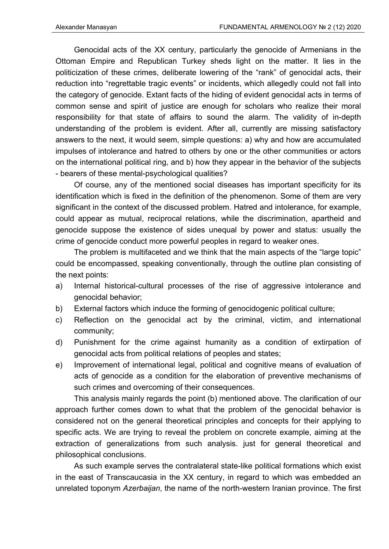Genocidal acts of the XX century, particularly the genocide of Armenians in the Ottoman Empire and Republican Turkey sheds light on the matter. It lies in the politicization of these crimes, deliberate lowering of the "rank" of genocidal acts, their reduction into "regrettable tragic events" or incidents, which allegedly could not fall into the category of genocide. Extant facts of the hiding of evident genocidal acts in terms of common sense and spirit of justice are enough for scholars who realize their moral responsibility for that state of affairs to sound the alarm. The validity of in-depth understanding of the problem is evident. After all, currently are missing satisfactory answers to the next, it would seem, simple questions: a) why and how are accumulated impulses of intolerance and hatred to others by one or the other communities or actors on the international political ring, and b) how they appear in the behavior of the subjects - bearers of these mental-psychological qualities?

Of course, any of the mentioned social diseases has important specificity for its identification which is fixed in the definition of the phenomenon. Some of them are very significant in the context of the discussed problem. Hatred and intolerance, for example, could appear as mutual, reciprocal relations, while the discrimination, apartheid and genocide suppose the existence of sides unequal by power and status: usually the crime of genocide conduct more powerful peoples in regard to weaker ones.

The problem is multifaceted and we think that the main aspects of the "large topic" could be encompassed, speaking conventionally, through the outline plan consisting of the next points:

- a) Internal historical-cultural processes of the rise of aggressive intolerance and genocidal behavior;
- b) External factors which induce the forming of genocidogenic political culture;
- c) Reflection on the genocidal act by the criminal, victim, and international community;
- d) Punishment for the crime against humanity as a condition of extirpation of genocidal acts from political relations of peoples and states;
- e) Improvement of international legal, political and cognitive means of evaluation of acts of genocide as a condition for the elaboration of preventive mechanisms of such crimes and overcoming of their consequences.

This analysis mainly regards the point (b) mentioned above. The clarification of our approach further comes down to what that the problem of the genocidal behavior is considered not on the general theoretical principles and concepts for their applying to specific acts. We are trying to reveal the problem on concrete example, aiming at the extraction of generalizations from such analysis. just for general theoretical and philosophical conclusions.

As such example serves the contralateral state-like political formations which exist in the east of Transcaucasia in the XX century, in regard to which was embedded an unrelated toponym *Azerbaijan*, the name of the north-western Iranian province. The first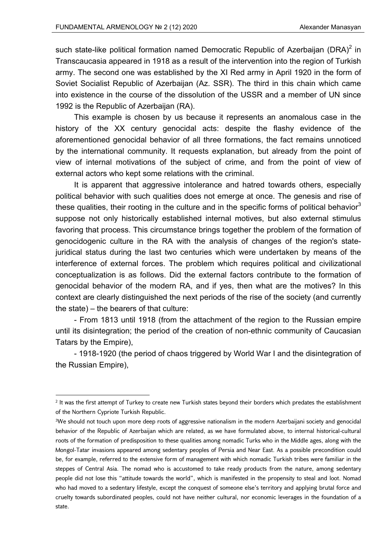such state-like political formation named Democratic Republic of Azerbaijan (DRA)<sup>2</sup> in Transcaucasia appeared in 1918 as a result of the intervention into the region of Turkish army. The second one was established by the XI Red army in April 1920 in the form of Soviet Socialist Republic of Azerbaijan (Az. SSR). The third in this chain which came into existence in the course of the dissolution of the USSR and a member of UN since 1992 is the Republic of Azerbaijan (RA).

This example is chosen by us because it represents an anomalous case in the history of the XX century genocidal acts: despite the flashy evidence of the aforementioned genocidal behavior of all three formations, the fact remains unnoticed by the international community. It requests explanation, but already from the point of view of internal motivations of the subject of crime, and from the point of view of external actors who kept some relations with the criminal.

It is apparent that aggressive intolerance and hatred towards others, especially political behavior with such qualities does not emerge at once. The genesis and rise of these qualities, their rooting in the culture and in the specific forms of political behavior<sup>3</sup> suppose not only historically established internal motives, but also external stimulus favoring that process. This circumstance brings together the problem of the formation of genocidоgenic culture in the RA with the analysis of changes of the region's statejuridical status during the last two centuries which were undertaken by means of the interference of external forces. The problem which requires political and civilizational conceptualization is as follows. Did the external factors contribute to the formation of genocidal behavior of the modern RA, and if yes, then what are the motives? In this context are clearly distinguished the next periods of the rise of the society (and currently the state) – the bearers of that culture:

- From 1813 until 1918 (from the attachment of the region to the Russian empire until its disintegration; the period of the creation of non-ethnic community of Caucasian Tatars by the Empire),

- 1918-1920 (the period of chaos triggered by World War I and the disintegration of the Russian Empire),

<sup>2</sup> It was the first attempt of Turkey to create new Turkish states beyond their borders which predates the establishment of the Northern Cypriote Turkish Republic.

<sup>3</sup>We should not touch upon more deep roots of aggressive nationalism in the modern Azerbaijani society and genocidal behavior of the Republic of Azerbaijan which are related, as we have formulated above, to internal historical-cultural roots of the formation of predisposition to these qualities among nomadic Turks who in the Middle ages, along with the Mongol-Tatar invasions appeared among sedentary peoples of Persia and Near East. As a possible precondition could be, for example, referred to the extensive form of management with which nomadic Turkish tribes were familiar in the steppes of Central Asia. The nomad who is accustomed to take ready products from the nature, among sedentary people did not lose this "attitude towards the world", which is manifested in the propensity to steal and loot. Nomad who had moved to a sedentary lifestyle, except the conquest of someone else's territory and applying brutal force and cruelty towards subordinated peoples, could not have neither cultural, nor economic leverages in the foundation of a state.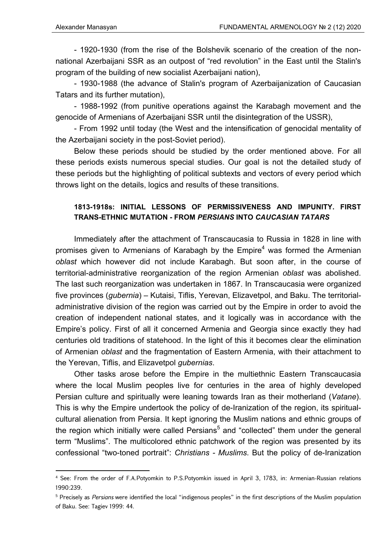- 1920-1930 (from the rise of the Bolshevik scenario of the creation of the nonnational Azerbaijani SSR as an outpost of "red revolution" in the East until the Stalin's program of the building of new socialist Azerbaijani nation),

- 1930-1988 (the advance of Stalin's program of Azerbaijanization of Caucasian Tatars and its further mutation),

- 1988-1992 (from punitive operations against the Karabagh movement and the genocide of Armenians of Azerbaijani SSR until the disintegration of the USSR),

- From 1992 until today (the West and the intensification of genocidal mentality of the Azerbaijani society in the post-Soviet period).

Below these periods should be studied by the order mentioned above. For all these periods exists numerous special studies. Our goal is not the detailed study of these periods but the highlighting of political subtexts and vectors of every period which throws light on the details, logics and results of these transitions.

## **1813-1918s: INITIAL LESSONS OF PERMISSIVENESS AND IMPUNITY. FIRST TRANS-ETHNIC MUTATION - FROM** *PERSIANS* **INTO** *CAUCASIAN TATARS*

Immediately after the attachment of Transcaucasia to Russia in 1828 in line with promises given to Armenians of Karabagh by the Empire<sup>4</sup> was formed the Armenian *oblast* which however did not include Karabagh. But soon after, in the course of territorial-administrative reorganization of the region Armenian *oblast* was abolished. The last such reorganization was undertaken in 1867. In Transcaucasia were organized five provinces (*gubernia*) – Kutaisi, Tiflis, Yerevan, Elizavetpol, and Baku. The territorialadministrative division of the region was carried out by the Empire in order to avoid the creation of independent national states, and it logically was in accordance with the Empire's policy. First of all it concerned Armenia and Georgia since exactly they had centuries old traditions of statehood. In the light of this it becomes clear the elimination of Armenian *oblast* and the fragmentation of Eastern Armenia, with their attachment to the Yerevan, Tiflis, and Elizavetpol *gubernias*.

Other tasks arose before the Empire in the multiethnic Eastern Transcaucasia where the local Muslim peoples live for centuries in the area of highly developed Persian culture and spiritually were leaning towards Iran as their motherland (*Vatane*). This is why the Empire undertook the policy of de-Iranization of the region, its spiritualcultural alienation from Persia. It kept ignoring the Muslim nations and ethnic groups of the region which initially were called Persians<sup>5</sup> and "collected" them under the general term "Muslims". The multicolored ethnic patchwork of the region was presented by its confessional "two-toned portrait": *Christians - Muslims*. But the policy of de-Iranization

<sup>4</sup> See: From the order of F.A.Potyomkin to P.S.Potyomkin issued in April 3, 1783, in: Armenian-Russian relations 1990:239.

<sup>5</sup> Precisely as *Persians* were identified the local "indigenous peoples" in the first descriptions of the Muslim population of Baku. See: Tagiev 1999: 44.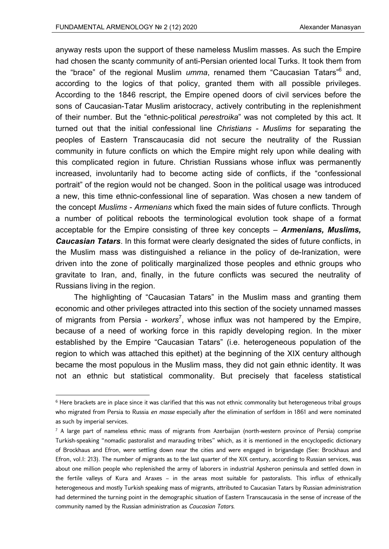anyway rests upon the support of these nameless Muslim masses. As such the Empire had chosen the scanty community of anti-Persian oriented local Turks. It took them from the "brace" of the regional Muslim *umma*, renamed them "Caucasian Tatars"<sup>6</sup> and, according to the logics of that policy, granted them with all possible privileges. According to the 1846 rescript, the Empire opened doors of civil services before the sons of Caucasian-Tatar Muslim aristocracy, actively contributing in the replenishment of their number. But the "ethnic-political *perestroika*" was not completed by this act. It turned out that the initial confessional line *Christians - Muslims* for separating the peoples of Eastern Transcaucasia did not secure the neutrality of the Russian community in future conflicts on which the Empire might rely upon while dealing with this complicated region in future. Christian Russians whose influx was permanently increased, involuntarily had to become acting side of conflicts, if the "confessional portrait" of the region would not be changed. Soon in the political usage was introduced a new, this time ethnic-confessional line of separation. Was chosen a new tandem of the concept *Muslims - Armenians* which fixed the main sides of future conflicts. Through a number of political reboots the terminological evolution took shape of a format acceptable for the Empire consisting of three key concepts – *Armenians, Muslims, Caucasian Tatars*. In this format were clearly designated the sides of future conflicts, in the Muslim mass was distinguished a reliance in the policy of de-Iranization, were driven into the zone of politically marginalized those peoples and ethnic groups who gravitate to Iran, and, finally, in the future conflicts was secured the neutrality of Russians living in the region.

The highlighting of "Caucasian Tatars" in the Muslim mass and granting them economic and other privileges attracted into this section of the society unnamed masses of migrants from Persia - workers<sup>7</sup>, whose influx was not hampered by the Empire, because of a need of working force in this rapidly developing region. In the mixer established by the Empire "Caucasian Tatars" (i.e. heterogeneous population of the region to which was attached this epithet) at the beginning of the XIX century although became the most populous in the Muslim mass, they did not gain ethnic identity. It was not an ethnic but statistical commonality. But precisely that faceless statistical

<sup>&</sup>lt;sup>6</sup> Here brackets are in place since it was clarified that this was not ethnic commonality but heterogeneous tribal groups who migrated from Persia to Russia *en masse* especially after the elimination of serfdom in 1861 and were nominated as such by imperial services.

<sup>7</sup> A large part of nameless ethnic mass of migrants from Azerbaijan (north-western province of Persia) comprise Turkish-speaking "nomadic pastoralist and marauding tribes" which, as it is mentioned in the encyclopedic dictionary of Brockhaus and Efron, were settling down near the cities and were engaged in brigandage (See: Brockhaus and Efron, vol.I: 213). The number of migrants as to the last quarter of the XIX century, according to Russian services, was about one million people who replenished the army of laborers in industrial Apsheron peninsula and settled down in the fertile valleys of Kura and Araxes – in the areas most suitable for pastoralists. This influx of ethnically heterogeneous and mostly Turkish speaking mass of migrants, attributed to Caucasian Tatars by Russian administration had determined the turning point in the demographic situation of Eastern Transcaucasia in the sense of increase of the community named by the Russian administration as *Caucasian Tatars*.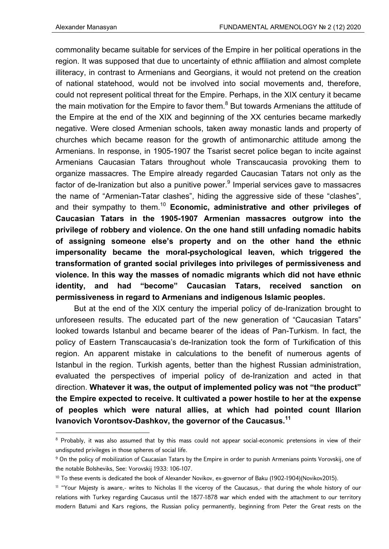commonality became suitable for services of the Empire in her political operations in the region. It was supposed that due to uncertainty of ethnic affiliation and almost complete illiteracy, in contrast to Armenians and Georgians, it would not pretend on the creation of national statehood, would not be involved into social movements and, therefore, could not represent political threat for the Empire. Perhaps, in the XIX century it became the main motivation for the Empire to favor them. $^8$  But towards Armenians the attitude of the Empire at the end of the XIX and beginning of the XX centuries became markedly negative. Were closed Armenian schools, taken away monastic lands and property of churches which became reason for the growth of antimonarchic attitude among the Armenians. In response, in 1905-1907 the Tsarist secret police began to incite against Armenians Caucasian Tatars throughout whole Transcaucasia provoking them to organize massacres. The Empire already regarded Caucasian Tatars not only as the factor of de-Iranization but also a punitive power. $^9$  Imperial services gave to massacres the name of "Armenian-Tatar clashes", hiding the aggressive side of these "clashes", and their sympathy to them.10 **Economic, administrative and other privileges of Caucasian Tatars in the 1905-1907 Armenian massacres outgrow into the privilege of robbery and violence. On the one hand still unfading nomadic habits of assigning someone else's property and on the other hand the ethnic impersonality became the moral-psychological leaven, which triggered the transformation of granted social privileges into privileges of permissiveness and violence. In this way the masses of nomadic migrants which did not have ethnic identity, and had "become" Caucasian Tatars, received sanction on permissiveness in regard to Armenians and indigenous Islamic peoples.** 

But at the end of the XIX century the imperial policy of de-Iranization brought to unforeseen results. The educated part of the new generation of "Caucasian Tatars" looked towards Istanbul and became bearer of the ideas of Pan-Turkism. In fact, the policy of Eastern Transcaucasia's de-Iranization took the form of Turkification of this region. An apparent mistake in calculations to the benefit of numerous agents of Istanbul in the region. Turkish agents, better than the highest Russian administration, evaluated the perspectives of imperial policy of de-Iranization and acted in that direction. **Whatever it was, the output of implemented policy was not "the product" the Empire expected to receive. It cultivated a power hostile to her at the expense of peoples which were natural allies, at which had pointed count Illarion Ivanovich Vorontsov-Dashkov, the governor of the Caucasus.<sup>11</sup>**

<sup>&</sup>lt;sup>8</sup> Probably, it was also assumed that by this mass could not appear social-economic pretensions in view of their undisputed privileges in those spheres of social life.

<sup>&</sup>lt;sup>9</sup> On the policy of mobilization of Caucasian Tatars by the Empire in order to punish Armenians points Vorovskij, one of the notable Bolsheviks, See: Vorovskij 1933: 106-107.

<sup>&</sup>lt;sup>10</sup> To these events is dedicated the book of Alexander Novikov, ex-governor of Baku (1902-1904)(Novikov2015).

<sup>11 &</sup>quot;Your Majesty is aware,- writes to Nicholas II the viceroy of the Caucasus,- that during the whole history of our relations with Turkey regarding Caucasus until the 1877-1878 war which ended with the attachment to our territory modern Batumi and Kars regions, the Russian policy permanently, beginning from Peter the Great rests on the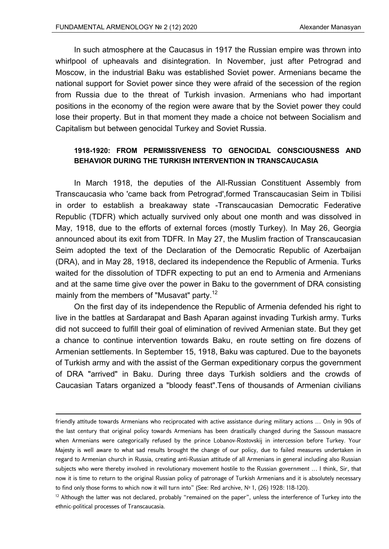In such atmosphere at the Caucasus in 1917 the Russian empire was thrown into whirlpool of upheavals and disintegration. In November, just after Petrograd and Moscow, in the industrial Baku was established Soviet power. Armenians became the national support for Soviet power since they were afraid of the secession of the region from Russia due to the threat of Turkish invasion. Armenians who had important positions in the economy of the region were aware that by the Soviet power they could lose their property. But in that moment they made a choice not between Socialism and Capitalism but between genocidal Turkey and Soviet Russia.

## **1918-1920: FROM PERMISSIVENESS TO GENOCIDAL CONSCIOUSNESS AND BEHAVIOR DURING THE TURKISH INTERVENTION IN TRANSCAUCASIA**

In March 1918, the deputies of the All-Russian Constituent Assembly from Transcaucasia who 'came back from Petrograd',formed Transcaucasian Seim in Tbilisi in order to establish a breakaway state -Transcaucasian Democratic Federative Republic (TDFR) which actually survived only about one month and was dissolved in May, 1918, due to the efforts of external forces (mostly Turkey). In May 26, Georgia announced about its exit from TDFR. In May 27, the Muslim fraction of Transcaucasian Seim adopted the text of the Declaration of the Democratic Republic of Azerbaijan (DRA), and in May 28, 1918, declared its independence the Republic of Armenia. Turks waited for the dissolution of TDFR expecting to put an end to Armenia and Armenians and at the same time give over the power in Baku to the government of DRA consisting mainly from the members of "Musavat" party.<sup>12</sup>

On the first day of its independence the Republic of Armenia defended his right to live in the battles at Sardarapat and Bash Aparan against invading Turkish army. Turks did not succeed to fulfill their goal of elimination of revived Armenian state. But they get a chance to continue intervention towards Baku, en route setting on fire dozens of Armenian settlements. In September 15, 1918, Baku was captured. Due to the bayonets of Turkish army and with the assist of the German expeditionary corpus the government of DRA "arrived" in Baku. During three days Turkish soldiers and the crowds of Caucasian Tatars organized a "bloody feast".Tens of thousands of Armenian civilians

<u> Andrewski politika (za obrazu za obrazu za obrazu za obrazu za obrazu za obrazu za obrazu za obrazu za obrazu</u>

friendly attitude towards Armenians who reciprocated with active assistance during military actions … Only in 90s of the last century that original policy towards Armenians has been drastically changed during the Sassoun massacre when Armenians were categorically refused by the prince Lobanov-Rostovskij in intercession before Turkey. Your Majesty is well aware to what sad results brought the change of our policy, due to failed measures undertaken in regard to Armenian church in Russia, creating anti-Russian attitude of all Armenians in general including also Russian subjects who were thereby involved in revolutionary movement hostile to the Russian government … I think, Sir, that now it is time to return to the original Russian policy of patronage of Turkish Armenians and it is absolutely necessary to find only those forms to which now it will turn into" (See: Red archive, № 1, (26) 1928: 118-120).

 $12$  Although the latter was not declared, probably "remained on the paper", unless the interference of Turkey into the ethnic-political processes of Transcaucasia.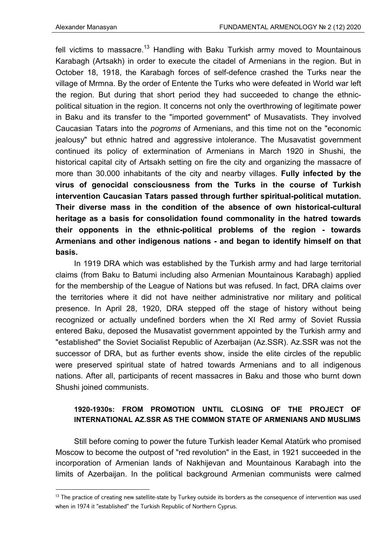fell victims to massacre.<sup>13</sup> Handling with Baku Turkish army moved to Mountainous Karabagh (Artsakh) in order to execute the citadel of Armenians in the region. But in October 18, 1918, the Karabagh forces of self-defence crashed the Turks near the village of Mrmna. By the order of Entente the Turks who were defeated in World war left the region. But during that short period they had succeeded to change the ethnicpolitical situation in the region. It concerns not only the overthrowing of legitimate power in Baku and its transfer to the "imported government" of Musavatists. They involved Caucasian Tatars into the *pogroms* of Armenians, and this time not on the "economic jealousy" but ethnic hatred and aggressive intolerance. The Musavatist government continued its policy of extermination of Armenians in March 1920 in Shushi, the historical capital city of Artsakh setting on fire the city and organizing the massacre of more than 30.000 inhabitants of the city and nearby villages. **Fully infected by the virus of genocidal consciousness from the Turks in the course of Turkish intervention Caucasian Tatars passed through further spiritual-political mutation. Their diverse mass in the condition of the absence of own historical-cultural heritage as a basis for consolidation found commonality in the hatred towards their opponents in the ethnic-political problems of the region - towards Armenians and other indigenous nations - and began to identify himself on that basis.** 

In 1919 DRA which was established by the Turkish army and had large territorial claims (from Baku to Batumi including also Armenian Mountainous Karabagh) applied for the membership of the League of Nations but was refused. In fact, DRA claims over the territories where it did not have neither administrative nor military and political presence. In April 28, 1920, DRA stepped off the stage of history without being recognized or actually undefined borders when the XI Red army of Soviet Russia entered Baku, deposed the Musavatist government appointed by the Turkish army and "established" the Soviet Socialist Republic of Azerbaijan (Az.SSR). Az.SSR was not the successor of DRA, but as further events show, inside the elite circles of the republic were preserved spiritual state of hatred towards Armenians and to all indigenous nations. After all, participants of recent massacres in Baku and those who burnt down Shushi joined communists.

# **1920-1930s: FROM PROMOTION UNTIL CLOSING OF THE PROJECT OF INTERNATIONAL AZ.SSR AS THE COMMON STATE OF ARMENIANS AND MUSLIMS**

Still before coming to power the future Turkish leader Kemal Atatürk who promised Moscow to become the outpost of "red revolution" in the East, in 1921 succeeded in the incorporation of Armenian lands of Nakhijevan and Mountainous Karabagh into the limits of Azerbaijan. In the political background Armenian communists were calmed

 $13$  The practice of creating new satellite-state by Turkey outside its borders as the consequence of intervention was used when in 1974 it "established" the Turkish Republic of Northern Cyprus.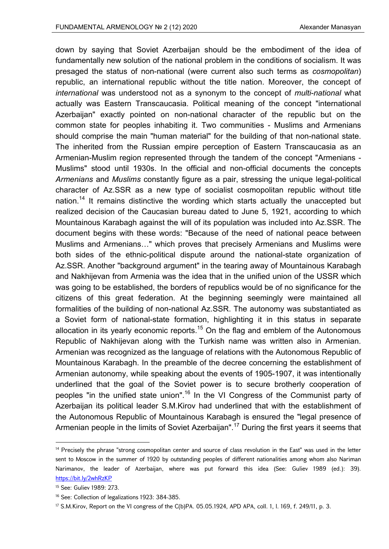down by saying that Soviet Azerbaijan should be the embodiment of the idea of fundamentally new solution of the national problem in the conditions of socialism. It was presaged the status of non-national (were current also such terms as *cosmopolitan*) republic, an international republic without the title nation. Moreover, the concept of *international* was understood not as a synonym to the concept of *multi-national* what actually was Eastern Transcaucasia. Political meaning of the concept "international Azerbaijan" exactly pointed on non-national character of the republic but on the common state for peoples inhabiting it. Two communities - Muslims and Armenians should comprise the main "human material" for the building of that non-national state. The inherited from the Russian empire perception of Eastern Transcaucasia as an Armenian-Muslim region represented through the tandem of the concept "Armenians - Muslims" stood until 1930s. In the official and non-official documents the concepts *Armenians* and *Muslims* constantly figure as a pair, stressing the unique legal-political character of Az.SSR as a new type of socialist cosmopolitan republic without title nation.<sup>14</sup> It remains distinctive the wording which starts actually the unaccepted but realized decision of the Caucasian bureau dated to June 5, 1921, according to which Mountainous Karabagh against the will of its population was included into Az.SSR. The document begins with these words: "Because of the need of national peace between Muslims and Armenians…" which proves that precisely Armenians and Muslims were both sides of the ethnic-political dispute around the national-state organization of Az.SSR. Another "background argument" in the tearing away of Mountainous Karabagh and Nakhijevan from Armenia was the idea that in the unified union of the USSR which was going to be established, the borders of republics would be of no significance for the citizens of this great federation. At the beginning seemingly were maintained all formalities of the building of non-national Az.SSR. The autonomy was substantiated as a Soviet form of national-state formation, highlighting it in this status in separate allocation in its yearly economic reports.<sup>15</sup> On the flag and emblem of the Autonomous Republic of Nakhijevan along with the Turkish name was written also in Armenian. Armenian was recognized as the language of relations with the Autonomous Republic of Mountainous Karabagh. In the preamble of the decree concerning the establishment of Armenian autonomy, while speaking about the events of 1905-1907, it was intentionally underlined that the goal of the Soviet power is to secure brotherly cooperation of peoples "in the unified state union".<sup>16</sup> In the VI Congress of the Communist party of Azerbaijan its political leader S.M.Kirov had underlined that with the establishment of the Autonomous Republic of Mountainous Karabagh is ensured the "legal presence of Armenian people in the limits of Soviet Azerbaijan".<sup>17</sup> During the first years it seems that

<sup>&</sup>lt;sup>14</sup> Precisely the phrase "strong cosmopolitan center and source of class revolution in the East" was used in the letter sent to Moscow in the summer of 1920 by outstanding peoples of different nationalities among whom also Nariman Narimanov, the leader of Azerbaijan, where was put forward this idea (See: Guliev 1989 (ed.): 39). https://bit.ly/2whRzKP

<sup>15</sup> See: Guliev 1989: 273.

<sup>16</sup> See: Collection of legalizations 1923: 384-385.

<sup>17</sup> S.M.Kirov, Report on the VI congress of the C(b)PA. 05.05.1924, APD APA, coll. 1, l. 169, f. 249/11, p. 3.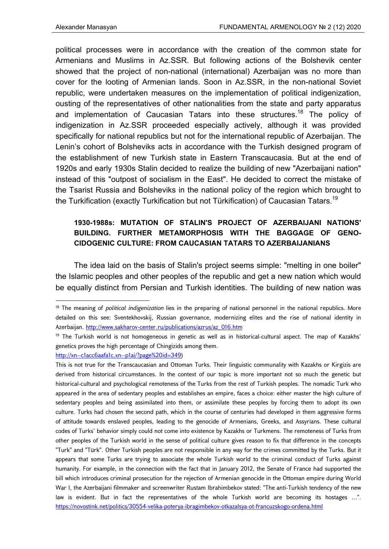political processes were in accordance with the creation of the common state for Armenians and Muslims in Az.SSR. But following actions of the Bolshevik center showed that the project of non-national (international) Azerbaijan was no more than cover for the looting of Armenian lands. Soon in Az.SSR, in the non-national Soviet republic, were undertaken measures on the implementation of political indigenization, ousting of the representatives of other nationalities from the state and party apparatus and implementation of Caucasian Tatars into these structures.<sup>18</sup> The policy of indigenization in Az.SSR proceeded especially actively, although it was provided specifically for national republics but not for the international republic of Azerbaijan. The Lenin's cohort of Bolsheviks acts in accordance with the Turkish designed program of the establishment of new Turkish state in Eastern Transcaucasia. But at the end of 1920s and early 1930s Stalin decided to realize the building of new "Azerbaijani nation" instead of this "outpost of socialism in the East". He decided to correct the mistake of the Tsarist Russia and Bolsheviks in the national policy of the region which brought to the Turkification (exactly Turkification but not Türkification) of Caucasian Tatars.<sup>19</sup>

# **1930-1988s: MUTATION OF STALIN'S PROJECT OF AZERBAIJANI NATIONS' BUILDING. FURTHER METAMORPHOSIS WITH THE BAGGAGE OF GENO-CIDOGENIC CULTURE: FROM CAUCASIAN TATARS TO AZERBAIJANIANS**

The idea laid on the basis of Stalin's project seems simple: "melting in one boiler" the Islamic peoples and other peoples of the republic and get a new nation which would be equally distinct from Persian and Turkish identities. The building of new nation was

<sup>18</sup> The meaning of *political indigenization* lies in the preparing of national personnel in the national republics. More detailed on this see: Sventekhovskij, Russian governance, modernizing elites and the rise of national identity in Azerbaijan. http://www.sakharov-center.ru/publications/azrus/az\_016.htm

<sup>&</sup>lt;sup>19</sup> The Turkish world is not homogeneous in genetic as well as in historical-cultural aspect. The map of Kazakhs' genetics proves the high percentage of Chingizids among them.

http://xn--c1acc6aafa1c.xn--p1ai/?page%20id=349)

This is not true for the Transcaucasian and Ottoman Turks. Their linguistic communality with Kazakhs or Kirgizis are derived from historical circumstances. In the context of our topic is more important not so much the genetic but historical-cultural and psychological remoteness of the Turks from the rest of Turkish peoples. The nomadic Turk who appeared in the area of sedentary peoples and establishes an empire, faces a choice: either master the high culture of sedentary peoples and being assimilated into them, or assimilate these peoples by forcing them to adopt its own culture. Turks had chosen the second path, which in the course of centuries had developed in them aggressive forms of attitude towards enslaved peoples, leading to the genocide of Armenians, Greeks, and Assyrians. These cultural codes of Turks' behavior simply could not come into existence by Kazakhs or Turkmens. The remoteness of Turks from other peoples of the Turkish world in the sense of political culture gives reason to fix that difference in the concepts "Turk" and "Türk". Other Turkish peoples are not responsible in any way for the crimes committed by the Turks. But it appears that some Turks are trying to associate the whole Turkish world to the criminal conduct of Turks against humanity. For example, in the connection with the fact that in January 2012, the Senate of France had supported the bill which introduces criminal prosecution for the rejection of Armenian genocide in the Ottoman empire during World War I, the Azerbaijani filmmaker and screenwriter Rustam Ibrahimbekov stated: "The anti-Turkish tendency of the new law is evident. But in fact the representatives of the whole Turkish world are becoming its hostages …". https://novostink.net/politics/30554-velika-poterya-ibragimbekov-otkazalsya-ot-francuzskogo-ordena.html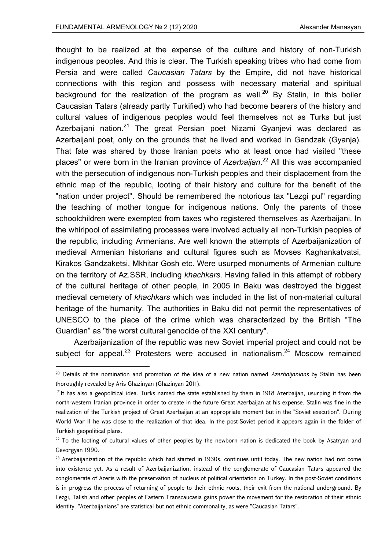thought to be realized at the expense of the culture and history of non-Turkish indigenous peoples. And this is clear. The Turkish speaking tribes who had come from Persia and were called *Caucasian Tatars* by the Empire, did not have historical connections with this region and possess with necessary material and spiritual background for the realization of the program as well.<sup>20</sup> By Stalin, in this boiler Caucasian Tatars (already partly Turkified) who had become bearers of the history and cultural values of indigenous peoples would feel themselves not as Turks but just Azerbaijani nation.<sup>21</sup> The great Persian poet Nizami Gyanjevi was declared as Azerbaijani poet, only on the grounds that he lived and worked in Gandzak (Gyanja). That fate was shared by those Iranian poets who at least once had visited "these places" or were born in the Iranian province of *Azerbaijan*. 22 All this was accompanied with the persecution of indigenous non-Turkish peoples and their displacement from the ethnic map of the republic, looting of their history and culture for the benefit of the "nation under project". Should be remembered the notorious tax "Lezgi pul" regarding the teaching of mother tongue for indigenous nations. Only the parents of those schoolchildren were exempted from taxes who registered themselves as Azerbaijani. In the whirlpool of assimilating processes were involved actually all non-Turkish peoples of the republic, including Armenians. Are well known the attempts of Azerbaijanization of medieval Armenian historians and cultural figures such as Movses Kaghankatvatsi, Kirakos Gandzaketsi, Mkhitar Gosh etc. Were usurped monuments of Armenian culture on the territory of Az.SSR, including *khachkars*. Having failed in this attempt of robbery of the cultural heritage of other people, in 2005 in Baku was destroyed the biggest medieval cemetery of *khachkars* which was included in the list of non-material cultural heritage of the humanity. The authorities in Baku did not permit the representatives of UNESCO to the place of the crime which was characterized by the British "The Guardian" as "the worst cultural genocide of the XXI century".

Azerbaijanization of the republic was new Soviet imperial project and could not be subject for appeal.<sup>23</sup> Protesters were accused in nationalism.<sup>24</sup> Moscow remained

<sup>20</sup> Details of the nomination and promotion of the idea of a new nation named *Azerbaijanians* by Stalin has been thoroughly revealed by Aris Ghazinyan (Ghazinyan 2011).

 $21$ It has also a geopolitical idea. Turks named the state established by them in 1918 Azerbaijan, usurping it from the north-western Iranian province in order to create in the future Great Azerbaijan at his expense. Stalin was fine in the realization of the Turkish project of Great Azerbaijan at an appropriate moment but in the "Soviet execution". During World War II he was close to the realization of that idea. In the post-Soviet period it appears again in the folder of Turkish geopolitical plans.

<sup>&</sup>lt;sup>22</sup> To the looting of cultural values of other peoples by the newborn nation is dedicated the book by Asatryan and Gevorgyan 1990.

 $23$  Azerbaijanization of the republic which had started in 1930s, continues until today. The new nation had not come into existence yet. As a result of Azerbaijanization, instead of the conglomerate of Caucasian Tatars appeared the conglomerate of Azeris with the preservation of nucleus of political orientation on Turkey. In the post-Soviet conditions is in progress the process of returning of people to their ethnic roots, their exit from the national underground. By Lezgi, Talish and other peoples of Eastern Transcaucasia gains power the movement for the restoration of their ethnic identity. "Azerbaijanians" are statistical but not ethnic commonality, as were "Caucasian Tatars".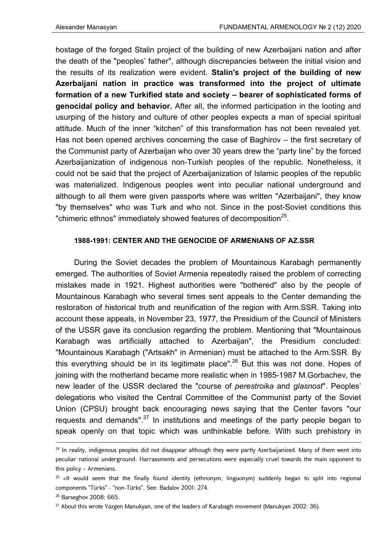hostage of the forged Stalin project of the building of new Azerbaijani nation and after the death of the "peoples' father", although discrepancies between the initial vision and the results of its realization were evident. **Stalin's project of the building of new Azerbaijani nation in practice was transformed into the project of ultimate formation of a new Turkified state and society – bearer of sophisticated forms of genocidal policy and behavior.** After all, the informed participation in the looting and usurping of the history and culture of other peoples expects a man of special spiritual attitude. Much of the inner "kitchen" of this transformation has not been revealed yet. Has not been opened archives concerning the case of Baghirov – the first secretary of the Communist party of Azerbaijan who over 30 years drew the "party line" by the forced Azerbaijanization of indigenous non-Turkish peoples of the republic. Nonetheless, it could not be said that the project of Azerbaijanization of Islamic peoples of the republic was materialized. Indigenous peoples went into peculiar national underground and although to all them were given passports where was written "Azerbaijani", they know "by themselves" who was Turk and who not. Since in the post-Soviet conditions this "chimeric ethnos" immediately showed features of decomposition<sup>25</sup>.

## **1988-1991: CENTER AND THE GENOCIDE OF ARMENIANS OF AZ.SSR**

During the Soviet decades the problem of Mountainous Karabagh permanently emerged. The authorities of Soviet Armenia repeatedly raised the problem of correcting mistakes made in 1921. Highest authorities were "bothered" also by the people of Mountainous Karabagh who several times sent appeals to the Center demanding the restoration of historical truth and reunification of the region with Arm.SSR. Taking into account these appeals, in November 23, 1977, the Presidium of the Council of Ministers of the USSR gave its conclusion regarding the problem. Mentioning that "Mountainous Karabagh was artificially attached to Azerbaijan", the Presidium concluded: "Mountainous Karabagh ("Artsakh" in Armenian) must be attached to the Arm.SSR. By this everything should be in its legitimate place".<sup>26</sup> But this was not done. Hopes of joining with the motherland became more realistic when in 1985-1987 M.Gorbachev, the new leader of the USSR declared the "course of *perestroika* and *glasnost*". Peoples' delegations who visited the Central Committee of the Communist party of the Soviet Union (CPSU) brought back encouraging news saying that the Center favors "our requests and demands". $^{27}$  In institutions and meetings of the party people began to speak openly on that topic which was unthinkable before. With such prehistory in

<u> Andrewski politika (za obrazu za obrazu za obrazu za obrazu za obrazu za obrazu za obrazu za obrazu za obrazu</u>

<sup>&</sup>lt;sup>24</sup> In reality, indigenous peoples did not disappear although they were partly Azerbaijanized. Many of them went into peculiar national underground. Harrassments and persecutions were especially cruel towards the main opponent to this policy – Armenians.

 $25$  «It would seem that the finally found identity (ethnonym, linguonym) suddenly began to split into regional components "Türks" - "non-Türks". See: Badalov 2001: 274.

<sup>26</sup> Barseghov 2008: 665.

<sup>27</sup> About this wrote Vazgen Manukyan, one of the leaders of Karabagh movement (Manukyan 2002: 36).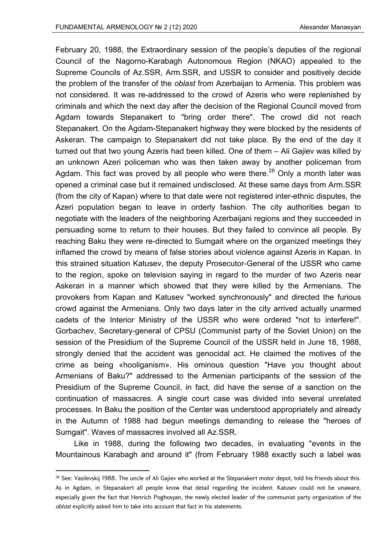February 20, 1988, the Extraordinary session of the people's deputies of the regional Council of the Nagorno-Karabagh Autonomous Region (NKAO) appealed to the Supreme Councils of Az.SSR, Arm.SSR, and USSR to consider and positively decide the problem of the transfer of the *oblast* from Azerbaijan to Armenia. This problem was not considered. It was re-addressed to the crowd of Azeris who were replenished by criminals and which the next day after the decision of the Regional Council moved from Agdam towards Stepanakert to "bring order there". The crowd did not reach Stepanakert. On the Agdam-Stepanakert highway they were blocked by the residents of Askeran. The campaign to Stepanakert did not take place. By the end of the day it turned out that two young Azeris had been killed. One of them – Ali Gajiev was killed by an unknown Azeri policeman who was then taken away by another policeman from Agdam. This fact was proved by all people who were there.<sup>28</sup> Only a month later was opened a criminal case but it remained undisclosed. At these same days from Arm.SSR (from the city of Kapan) where to that date were not registered inter-ethnic disputes, the Azeri population began to leave in orderly fashion. The city authorities began to negotiate with the leaders of the neighboring Azerbaijani regions and they succeeded in persuading some to return to their houses. But they failed to convince all people. By reaching Baku they were re-directed to Sumgait where on the organized meetings they inflamed the crowd by means of false stories about violence against Azeris in Kapan. In this strained situation Katusev, the deputy Prosecutor-General of the USSR who came to the region, spoke on television saying in regard to the murder of two Azeris near Askeran in a manner which showed that they were killed by the Armenians. The provokers from Kapan and Katusev "worked synchronously" and directed the furious crowd against the Armenians. Only two days later in the city arrived actually unarmed cadets of the Interior Ministry of the USSR who were ordered "not to interfere!". Gorbachev, Secretary-general of CPSU (Communist party of the Soviet Union) on the session of the Presidium of the Supreme Council of the USSR held in June 18, 1988, strongly denied that the accident was genocidal act. He claimed the motives of the crime as being «hooliganism». His ominous question "Have you thought about Armenians of Baku?" addressed to the Armenian participants of the session of the Presidium of the Supreme Council, in fact, did have the sense of a sanction on the continuation of massacres. A single court case was divided into several unrelated processes. In Baku the position of the Center was understood appropriately and already in the Autumn of 1988 had begun meetings demanding to release the "heroes of Sumgait". Waves of massacres involved all Az.SSR.

Like in 1988, during the following two decades, in evaluating "events in the Mountainous Karabagh and around it" (from February 1988 exactly such a label was

 $28$  See: Vasilevskij 1988. The uncle of Ali Gajiev who worked at the Stepanakert motor depot, told his friends about this. As in Agdam, in Stepanakert all people know that detail regarding the incident. Katusev could not be unaware, especially given the fact that Henrich Poghosyan, the newly elected leader of the communist party organization of the *oblast* explicitly asked him to take into account that fact in his statements.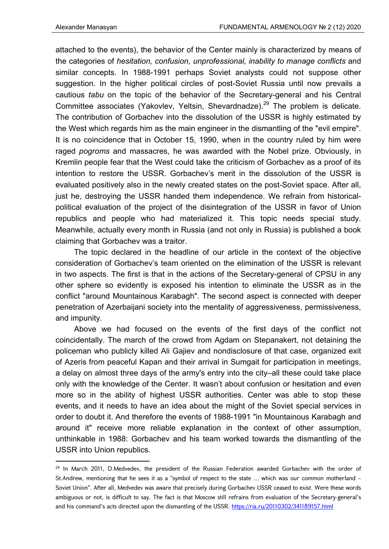attached to the events), the behavior of the Center mainly is characterized by means of the categories of *hesitation, confusion, unprofessional, inability to manage conflicts* and similar concepts. In 1988-1991 perhaps Soviet analysts could not suppose other suggestion. In the higher political circles of post-Soviet Russia until now prevails a cautious *tabu* on the topic of the behavior of the Secretary-general and his Central Committee associates (Yakovlev, Yeltsin, Shevardnadze).<sup>29</sup> The problem is delicate. The contribution of Gorbachev into the dissolution of the USSR is highly estimated by the West which regards him as the main engineer in the dismantling of the "evil empire". It is no coincidence that in October 15, 1990, when in the country ruled by him were raged *pogroms* and massacres, he was awarded with the Nobel prize. Obviously, in Kremlin people fear that the West could take the criticism of Gorbachev as a proof of its intention to restore the USSR. Gorbachev's merit in the dissolution of the USSR is evaluated positively also in the newly created states on the post-Soviet space. After all, just he, destroying the USSR handed them independence. We refrain from historicalpolitical evaluation of the project of the disintegration of the USSR in favor of Union republics and people who had materialized it. This topic needs special study. Meanwhile, actually every month in Russia (and not only in Russia) is published a book claiming that Gorbachev was a traitor.

The topic declared in the headline of our article in the context of the objective consideration of Gorbachev's team oriented on the elimination of the USSR is relevant in two aspects. The first is that in the actions of the Secretary-general of CPSU in any other sphere so evidently is exposed his intention to eliminate the USSR as in the conflict "around Mountainous Karabagh". The second aspect is connected with deeper penetration of Azerbaijani society into the mentality of aggressiveness, permissiveness, and impunity.

Above we had focused on the events of the first days of the conflict not coincidentally. The march of the crowd from Agdam on Stepanakert, not detaining the policeman who publicly killed Ali Gajiev and nondisclosure of that case, organized exit of Azeris from peaceful Kapan and their arrival in Sumgait for participation in meetings, a delay on almost three days of the army's entry into the city–all these could take place only with the knowledge of the Center. It wasn't about confusion or hesitation and even more so in the ability of highest USSR authorities. Center was able to stop these events, and it needs to have an idea about the might of the Soviet special services in order to doubt it. And therefore the events of 1988-1991 "in Mountainous Karabagh and around it" receive more reliable explanation in the context of other assumption, unthinkable in 1988: Gorbachev and his team worked towards the dismantling of the USSR into Union republics.

<sup>&</sup>lt;sup>29</sup> In March 2011, D.Medvedev, the president of the Russian Federation awarded Gorbachev with the order of St.Andrew, mentioning that he sees it as a "symbol of respect to the state … which was our common motherland – Soviet Union". After all, Medvedev was aware that precisely during Gorbachev USSR ceased to exist. Were these words ambiguous or not, is difficult to say. The fact is that Moscow still refrains from evaluation of the Secretary-general's and his command's acts directed upon the dismantling of the USSR. https://ria.ru/20110302/341189157.html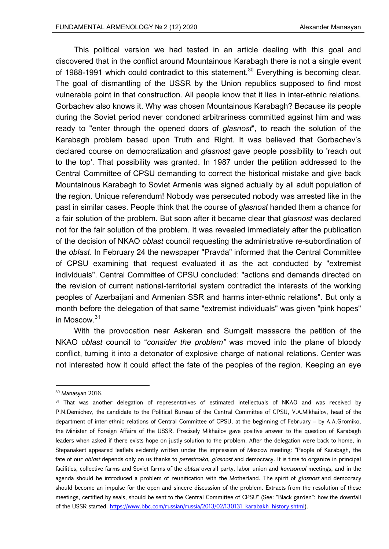This political version we had tested in an article dealing with this goal and discovered that in the conflict around Mountainous Karabagh there is not a single event of 1988-1991 which could contradict to this statement.<sup>30</sup> Everything is becoming clear. The goal of dismantling of the USSR by the Union republics supposed to find most vulnerable point in that construction. All people know that it lies in inter-ethnic relations. Gorbachev also knows it. Why was chosen Mountainous Karabagh? Because its people during the Soviet period never condoned arbitrariness committed against him and was ready to "enter through the opened doors of *glasnost*", to reach the solution of the Karabagh problem based upon Truth and Right. It was believed that Gorbachev's declared course on democratization and *glasnost* gave people possibility to 'reach out to the top'. That possibility was granted. In 1987 under the petition addressed to the Central Committee of CPSU demanding to correct the historical mistake and give back Mountainous Karabagh to Soviet Armenia was signed actually by all adult population of the region. Unique referendum! Nobody was persecuted nobody was arrested like in the past in similar cases. People think that the course of *glasnost* handed them a chance for a fair solution of the problem. But soon after it became clear that *glasnost* was declared not for the fair solution of the problem. It was revealed immediately after the publication of the decision of NKAO *oblast* council requesting the administrative re-subordination of the *oblast*. In February 24 the newspaper "Pravda" informed that the Central Committee of CPSU examining that request evaluated it as the act conducted by "extremist individuals". Central Committee of CPSU concluded: "actions and demands directed on the revision of current national-territorial system contradict the interests of the working peoples of Azerbaijani and Armenian SSR and harms inter-ethnic relations". But only a month before the delegation of that same "extremist individuals" was given "pink hopes" in Moscow.<sup>31</sup>

With the provocation near Askeran and Sumgait massacre the petition of the NKAO *oblast* council to "*consider the problem"* was moved into the plane of bloody conflict, turning it into a detonator of explosive charge of national relations. Center was not interested how it could affect the fate of the peoples of the region. Keeping an eye

<sup>30</sup> Manasyan 2016.

<sup>&</sup>lt;sup>31</sup> That was another delegation of representatives of estimated intellectuals of NKAO and was received by P.N.Demichev, the candidate to the Political Bureau of the Central Committee of CPSU, V.A.Mikhailov, head of the department of inter-ethnic relations of Central Committee of CPSU, at the beginning of February – by A.A.Gromiko, the Minister of Foreign Affairs of the USSR. Precisely Mikhailov gave positive answer to the question of Karabagh leaders when asked if there exists hope on justly solution to the problem. After the delegation were back to home, in Stepanakert appeared leaflets evidently written under the impression of Moscow meeting: "People of Karabagh, the fate of our *oblast* depends only on us thanks to *perestroika*, *glasnost* and democracy. It is time to organize in principal facilities, collective farms and Soviet farms of the *oblast* overall party, labor union and *komsomol* meetings, and in the agenda should be introduced a problem of reunification with the Motherland. The spirit of *glasnost* and democracy should become an impulse for the open and sincere discussion of the problem. Extracts from the resolution of these meetings, certified by seals, should be sent to the Central Committee of CPSU" (See: "Black garden": how the downfall of the USSR started. https://www.bbc.com/russian/russia/2013/02/130131\_karabakh\_history.shtml).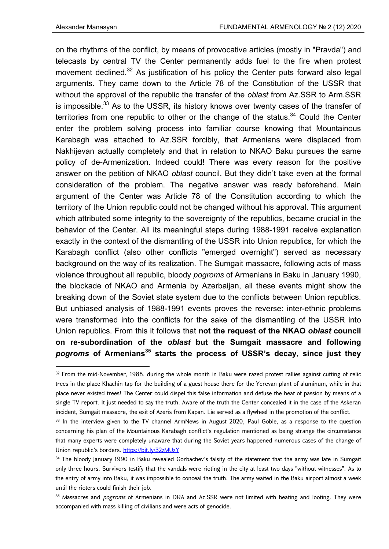on the rhythms of the conflict, by means of provocative articles (mostly in "Pravda") and telecasts by central TV the Center permanently adds fuel to the fire when protest movement declined.<sup>32</sup> As justification of his policy the Center puts forward also legal arguments. They came down to the Article 78 of the Constitution of the USSR that without the approval of the republic the transfer of the *oblast* from Az.SSR to Arm.SSR is impossible.<sup>33</sup> As to the USSR, its history knows over twenty cases of the transfer of territories from one republic to other or the change of the status.<sup>34</sup> Could the Center enter the problem solving process into familiar course knowing that Mountainous Karabagh was attached to Az.SSR forcibly, that Armenians were displaced from Nakhijevan actually completely and that in relation to NKAO Baku pursues the same policy of de-Armenization. Indeed could! There was every reason for the positive answer on the petition of NKAO *oblast* council. But they didn't take even at the formal consideration of the problem. The negative answer was ready beforehand. Main argument of the Center was Article 78 of the Constitution according to which the territory of the Union republic could not be changed without his approval. This argument which attributed some integrity to the sovereignty of the republics, became crucial in the behavior of the Center. All its meaningful steps during 1988-1991 receive explanation exactly in the context of the dismantling of the USSR into Union republics, for which the Karabagh conflict (also other conflicts "emerged overnight") served as necessary background on the way of its realization. The Sumgait massacre, following acts of mass violence throughout all republic, bloody *pogroms* of Armenians in Baku in January 1990, the blockade of NKAO and Armenia by Azerbaijan, all these events might show the breaking down of the Soviet state system due to the conflicts between Union republics. But unbiased analysis of 1988-1991 events proves the reverse: inter-ethnic problems were transformed into the conflicts for the sake of the dismantling of the USSR into Union republics. From this it follows that **not the request of the NKAO** *oblast* **council on re-subordination of the** *oblast* **but the Sumgait massacre and following**  *pogroms* **of Armenians35 starts the process of USSR's decay, since just they** 

<sup>32</sup> From the mid-November, 1988, during the whole month in Baku were razed protest rallies against cutting of relic trees in the place Khachin tap for the building of a guest house there for the Yerevan plant of aluminum, while in that place never existed trees! The Center could dispel this false information and defuse the heat of passion by means of a single TV report. It just needed to say the truth. Aware of the truth the Center concealed it in the case of the Askeran incident, Sumgait massacre, the exit of Azeris from Kapan. Lie served as a flywheel in the promotion of the conflict.

<sup>&</sup>lt;sup>33</sup> In the interview given to the TV channel ArmNews in August 2020, Paul Goble, as a response to the question concerning his plan of the Mountainous Karabagh conflict's regulation mentioned as being strange the circumstance that many experts were completely unaware that during the Soviet years happened numerous cases of the change of Union republic's borders. https://bit.ly/32zMUzY

<sup>&</sup>lt;sup>34</sup> The bloody January 1990 in Baku revealed Gorbachev's falsity of the statement that the army was late in Sumgait only three hours. Survivors testify that the vandals were rioting in the city at least two days "without witnesses". As to the entry of army into Baku, it was impossible to conceal the truth. The army waited in the Baku airport almost a week until the rioters could finish their job.

<sup>35</sup> Massacres and *pogroms* of Armenians in DRA and Az.SSR were not limited with beating and looting. They were accompanied with mass killing of civilians and were acts of genocide.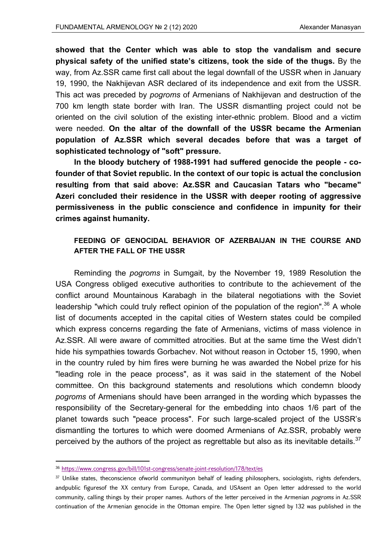**showed that the Center which was able to stop the vandalism and secure physical safety of the unified state's citizens, took the side of the thugs.** By the way, from Az.SSR came first call about the legal downfall of the USSR when in January 19, 1990, the Nakhijevan ASR declared of its independence and exit from the USSR. This act was preceded by *pogroms* of Armenians of Nakhijevan and destruction of the 700 km length state border with Iran. The USSR dismantling project could not be oriented on the civil solution of the existing inter-ethnic problem. Blood and a victim were needed. **On the altar of the downfall of the USSR became the Armenian population of Az.SSR which several decades before that was a target of sophisticated technology of "soft" pressure.** 

**In the bloody butchery of 1988-1991 had suffered genocide the people - cofounder of that Soviet republic. In the context of our topic is actual the conclusion resulting from that said above: Az.SSR and Caucasian Tatars who "became" Azeri concluded their residence in the USSR with deeper rooting of aggressive permissiveness in the public conscience and confidence in impunity for their crimes against humanity.** 

## **FEEDING OF GENOCIDAL BEHAVIOR OF AZERBAIJAN IN THE COURSE AND AFTER THE FALL OF THE USSR**

Reminding the *pogroms* in Sumgait, by the November 19, 1989 Resolution the USA Congress obliged executive authorities to contribute to the achievement of the conflict around Mountainous Karabagh in the bilateral negotiations with the Soviet leadership "which could truly reflect opinion of the population of the region".<sup>36</sup> A whole list of documents accepted in the capital cities of Western states could be compiled which express concerns regarding the fate of Armenians, victims of mass violence in Az.SSR. All were aware of committed atrocities. But at the same time the West didn't hide his sympathies towards Gorbachev. Not without reason in October 15, 1990, when in the country ruled by him fires were burning he was awarded the Nobel prize for his "leading role in the peace process", as it was said in the statement of the Nobel committee. On this background statements and resolutions which condemn bloody *pogroms* of Armenians should have been arranged in the wording which bypasses the responsibility of the Secretary-general for the embedding into chaos 1/6 part of the planet towards such "peace process". For such large-scaled project of the USSR's dismantling the tortures to which were doomed Armenians of Az.SSR, probably were perceived by the authors of the project as regrettable but also as its inevitable details. $37$ 

<sup>36</sup> https://www.congress.gov/bill/101st-congress/senate-joint-resolution/178/text/es

<sup>&</sup>lt;sup>37</sup> Unlike states, theconscience ofworld communityon behalf of leading philosophers, sociologists, rights defenders, andpublic figuresof the XX century from Europe, Canada, and USAsent an Open letter addressed to the world community, calling things by their proper names. Authors of the letter perceived in the Armenian *pogroms* in Az.SSR continuation of the Armenian genocide in the Ottoman empire. The Open letter signed by 132 was published in the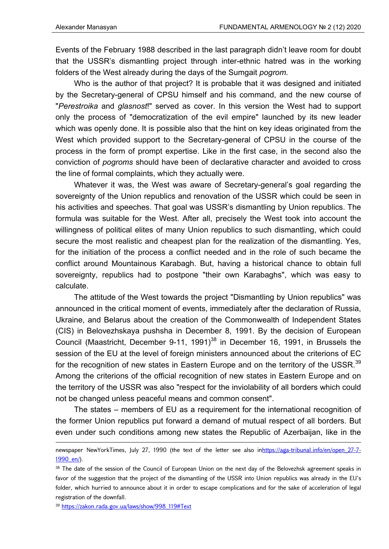Events of the February 1988 described in the last paragraph didn't leave room for doubt that the USSR's dismantling project through inter-ethnic hatred was in the working folders of the West already during the days of the Sumgait *pogrom*.

Who is the author of that project? It is probable that it was designed and initiated by the Secretary-general of CPSU himself and his command, and the new course of "*Perestroika* and *glasnost*!" served as cover. In this version the West had to support only the process of "democratization of the evil empire" launched by its new leader which was openly done. It is possible also that the hint on key ideas originated from the West which provided support to the Secretary-general of CPSU in the course of the process in the form of prompt expertise. Like in the first case, in the second also the conviction of *pogroms* should have been of declarative character and avoided to cross the line of formal complaints, which they actually were.

Whatever it was, the West was aware of Secretary-general's goal regarding the sovereignty of the Union republics and renovation of the USSR which could be seen in his activities and speeches. That goal was USSR's dismantling by Union republics. The formula was suitable for the West. After all, precisely the West took into account the willingness of political elites of many Union republics to such dismantling, which could secure the most realistic and cheapest plan for the realization of the dismantling. Yes, for the initiation of the process a conflict needed and in the role of such became the conflict around Mountainous Karabagh. But, having a historical chance to obtain full sovereignty, republics had to postpone "their own Karabaghs", which was easy to calculate.

The attitude of the West towards the project "Dismantling by Union republics" was announced in the critical moment of events, immediately after the declaration of Russia, Ukraine, and Belarus about the creation of the Commonwealth of Independent States (CIS) in Belovezhskaya pushsha in December 8, 1991. By the decision of European Council (Maastricht, December 9-11, 1991)<sup>38</sup> in December 16, 1991, in Brussels the session of the EU at the level of foreign ministers announced about the criterions of EC for the recognition of new states in Eastern Europe and on the territory of the USSR.<sup>39</sup> Among the criterions of the official recognition of new states in Eastern Europe and on the territory of the USSR was also "respect for the inviolability of all borders which could not be changed unless peaceful means and common consent".

The states – members of EU as a requirement for the international recognition of the former Union republics put forward a demand of mutual respect of all borders. But even under such conditions among new states the Republic of Azerbaijan, like in the

<sup>39</sup> https://zakon.rada.gov.ua/laws/show/998\_119#Text

<sup>&</sup>lt;u> Andrewski politika (za obrazu za obrazu za obrazu za obrazu za obrazu za obrazu za obrazu za obrazu za obrazu</u> newspaper NewYorkTimes, July 27, 1990 (the text of the letter see also inhttps://aga-tribunal.info/en/open 27-7-1990\_en/).

<sup>38</sup> The date of the session of the Council of European Union on the next day of the Belovezhsk agreement speaks in favor of the suggestion that the project of the dismantling of the USSR into Union republics was already in the EU's folder, which hurried to announce about it in order to escape complications and for the sake of acceleration of legal registration of the downfall.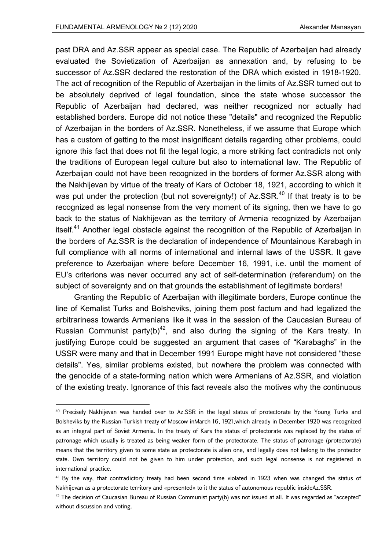past DRA and Az.SSR appear as special case. The Republic of Azerbaijan had already evaluated the Sovietization of Azerbaijan as annexation and, by refusing to be successor of Az.SSR declared the restoration of the DRA which existed in 1918-1920. The act of recognition of the Republic of Azerbaijan in the limits of Az.SSR turned out to be absolutely deprived of legal foundation, since the state whose successor the Republic of Azerbaijan had declared, was neither recognized nor actually had established borders. Europe did not notice these "details" and recognized the Republic of Azerbaijan in the borders of Az.SSR. Nonetheless, if we assume that Europe which has a custom of getting to the most insignificant details regarding other problems, could ignore this fact that does not fit the legal logic, a more striking fact contradicts not only the traditions of European legal culture but also to international law. The Republic of Azerbaijan could not have been recognized in the borders of former Az.SSR along with the Nakhijevan by virtue of the treaty of Kars of October 18, 1921, according to which it was put under the protection (but not sovereignty!) of  $Az.SSR<sup>40</sup>$  If that treaty is to be recognized as legal nonsense from the very moment of its signing, then we have to go back to the status of Nakhijevan as the territory of Armenia recognized by Azerbaijan itself.<sup>41</sup> Another legal obstacle against the recognition of the Republic of Azerbaijan in the borders of Az.SSR is the declaration of independence of Mountainous Karabagh in full compliance with all norms of international and internal laws of the USSR. It gave preference to Azerbaijan where before December 16, 1991, i.e. until the moment of EU's criterions was never occurred any act of self-determination (referendum) on the subject of sovereignty and on that grounds the establishment of legitimate borders!

Granting the Republic of Azerbaijan with illegitimate borders, Europe continue the line of Kemalist Turks and Bolsheviks, joining them post factum and had legalized the arbitrariness towards Armenians like it was in the session of the Caucasian Bureau of Russian Communist party(b)<sup>42</sup>, and also during the signing of the Kars treaty. In justifying Europe could be suggested an argument that cases of "Karabaghs" in the USSR were many and that in December 1991 Europe might have not considered "these details". Yes, similar problems existed, but nowhere the problem was connected with the genocide of a state-forming nation which were Armenians of Az.SSR, and violation of the existing treaty. Ignorance of this fact reveals also the motives why the continuous

<sup>&</sup>lt;sup>40</sup> Precisely Nakhijevan was handed over to Az.SSR in the legal status of protectorate by the Young Turks and Bolsheviks by the Russian-Turkish treaty of Moscow inMarch 16, 1921,which already in December 1920 was recognized as an integral part of Soviet Armenia. In the treaty of Kars the status of protectorate was replaced by the status of patronage which usually is treated as being weaker form of the protectorate. The status of patronage (protectorate) means that the territory given to some state as protectorate is alien one, and legally does not belong to the protector state. Own territory could not be given to him under protection, and such legal nonsense is not registered in international practice.

<sup>&</sup>lt;sup>41</sup> By the way, that contradictory treaty had been second time violated in 1923 when was changed the status of Nakhijevan as a protectorate territory and «presented» to it the status of autonomous republic insideAz.SSR.

 $42$  The decision of Caucasian Bureau of Russian Communist party(b) was not issued at all. It was regarded as "accepted" without discussion and voting.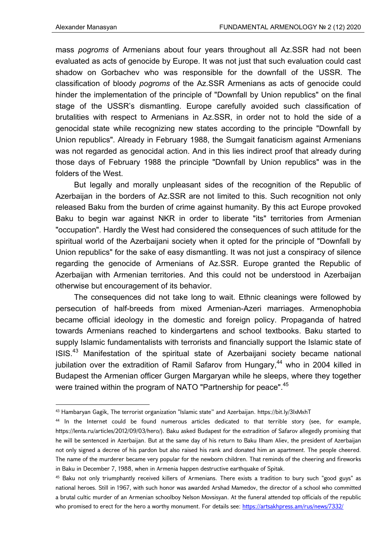mass *pogroms* of Armenians about four years throughout all Az.SSR had not been evaluated as acts of genocide by Europe. It was not just that such evaluation could cast shadow on Gorbachev who was responsible for the downfall of the USSR. The classification of bloody *pogroms* of the Az.SSR Armenians as acts of genocide could hinder the implementation of the principle of "Downfall by Union republics" on the final stage of the USSR's dismantling. Europe carefully avoided such classification of brutalities with respect to Armenians in Az.SSR, in order not to hold the side of a genocidal state while recognizing new states according to the principle "Downfall by Union republics". Already in February 1988, the Sumgait fanaticism against Armenians was not regarded as genocidal action. And in this lies indirect proof that already during those days of February 1988 the principle "Downfall by Union republics" was in the folders of the West.

But legally and morally unpleasant sides of the recognition of the Republic of Azerbaijan in the borders of Az.SSR are not limited to this. Such recognition not only released Baku from the burden of crime against humanity. By this act Europe provoked Baku to begin war against NKR in order to liberate "its" territories from Armenian "occupation". Hardly the West had considered the consequences of such attitude for the spiritual world of the Azerbaijani society when it opted for the principle of "Downfall by Union republics" for the sake of easy dismantling. It was not just a conspiracy of silence regarding the genocide of Armenians of Az.SSR. Europe granted the Republic of Azerbaijan with Armenian territories. And this could not be understood in Azerbaijan otherwise but encouragement of its behavior.

The consequences did not take long to wait. Ethnic cleanings were followed by persecution of half-breeds from mixed Armenian-Azeri marriages. Armenophobia became official ideology in the domestic and foreign policy. Propaganda of hatred towards Armenians reached to kindergartens and school textbooks. Baku started to supply Islamic fundamentalists with terrorists and financially support the Islamic state of ISIS.43 Manifestation of the spiritual state of Azerbaijani society became national jubilation over the extradition of Ramil Safarov from Hungary,<sup>44</sup> who in 2004 killed in Budapest the Armenian officer Gurgen Margaryan while he sleeps, where they together were trained within the program of NATO "Partnership for peace".<sup>45</sup>

<sup>43</sup> Hambaryan Gagik, The terrorist organization "Islamic state" and Azerbaijan. https://bit.ly/3lxMxhT

<sup>44</sup> In the Internet could be found numerous articles dedicated to that terrible story (see, for example, https://lenta.ru/articles/2012/09/03/hero/). Baku asked Budapest for the extradition of Safarov allegedly promising that he will be sentenced in Azerbaijan. But at the same day of his return to Baku Ilham Aliev, the president of Azerbaijan not only signed a decree of his pardon but also raised his rank and donated him an apartment. The people cheered. The name of the murderer became very popular for the newborn children. That reminds of the cheering and fireworks in Baku in December 7, 1988, when in Armenia happen destructive earthquake of Spitak.

<sup>45</sup> Baku not only triumphantly received killers of Armenians. There exists a tradition to bury such "good guys" as national heroes. Still in 1967, with such honor was awarded Arshad Mamedov, the director of a school who committed a brutal cultic murder of an Armenian schoolboy Nelson Movsisyan. At the funeral attended top officials of the republic who promised to erect for the hero a worthy monument. For details see: https://artsakhpress.am/rus/news/7332/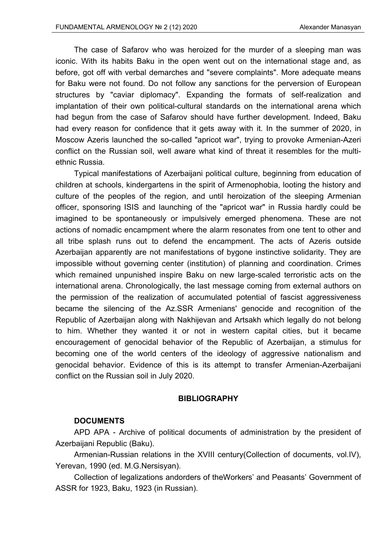The case of Safarov who was heroized for the murder of a sleeping man was iconic. With its habits Baku in the open went out on the international stage and, as before, got off with verbal demarches and "severe complaints". More adequate means for Baku were not found. Do not follow any sanctions for the perversion of European structures by "caviar diplomacy". Expanding the formats of self-realization and implantation of their own political-cultural standards on the international arena which had begun from the case of Safarov should have further development. Indeed, Baku had every reason for confidence that it gets away with it. In the summer of 2020, in Moscow Azeris launched the so-called "apricot war", trying to provoke Armenian-Azeri conflict on the Russian soil, well aware what kind of threat it resembles for the multiethnic Russia.

Typical manifestations of Azerbaijani political culture, beginning from education of children at schools, kindergartens in the spirit of Armenophobia, looting the history and culture of the peoples of the region, and until heroization of the sleeping Armenian officer, sponsoring ISIS and launching of the "apricot war" in Russia hardly could be imagined to be spontaneously or impulsively emerged phenomena. These are not actions of nomadic encampment where the alarm resonates from one tent to other and all tribe splash runs out to defend the encampment. The acts of Azeris outside Azerbaijan apparently are not manifestations of bygone instinctive solidarity. They are impossible without governing center (institution) of planning and coordination. Crimes which remained unpunished inspire Baku on new large-scaled terroristic acts on the international arena. Chronologically, the last message coming from external authors on the permission of the realization of accumulated potential of fascist aggressiveness became the silencing of the Az.SSR Armenians' genocide and recognition of the Republic of Azerbaijan along with Nakhijevan and Artsakh which legally do not belong to him. Whether they wanted it or not in western capital cities, but it became encouragement of genocidal behavior of the Republic of Azerbaijan, a stimulus for becoming one of the world centers of the ideology of aggressive nationalism and genocidal behavior. Evidence of this is its attempt to transfer Armenian-Azerbaijani conflict on the Russian soil in July 2020.

## **BIBLIOGRAPHY**

#### **DOCUMENTS**

APD APA - Archive of political documents of administration by the president of Azerbaijani Republic (Baku).

Armenian-Russian relations in the XVIII century(Collection of documents, vol.IV), Yerevan, 1990 (ed. M.G.Nersisyan).

Collection of legalizations andorders of theWorkers' and Peasants' Government of ASSR for 1923, Baku, 1923 (in Russian).